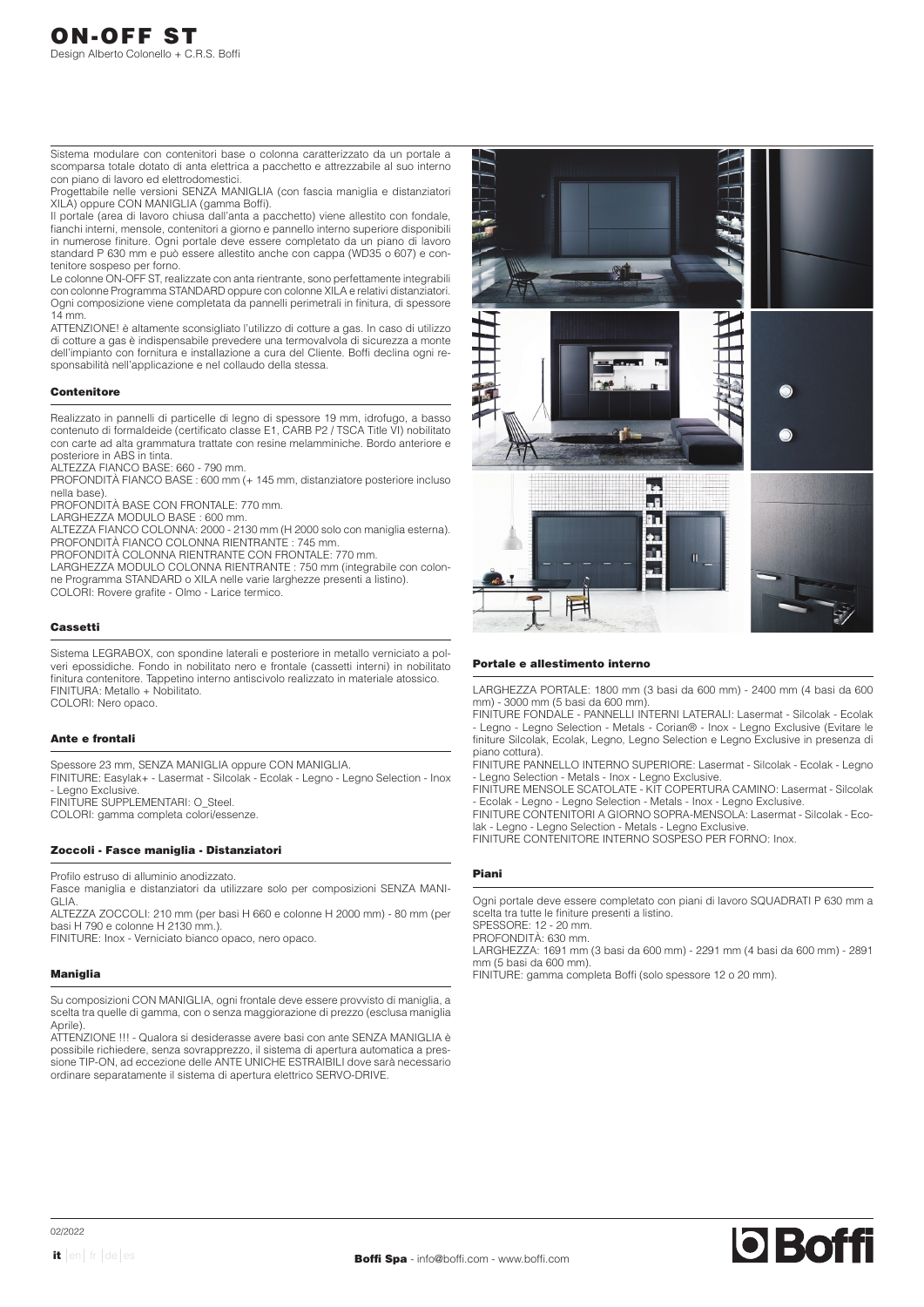Sistema modulare con contenitori base o colonna caratterizzato da un portale a scomparsa totale dotato di anta elettrica a pacchetto e attrezzabile al suo interno con piano di lavoro ed elettrodomestici.

Progettabile nelle versioni SENZA MANIGLIA (con fascia maniglia e distanziatori XILA) oppure CON MANIGLIA (gamma Boffi).

Il portale (area di lavoro chiusa dall'anta a pacchetto) viene allestito con fondale, fianchi interni, mensole, contenitori a giorno e pannello interno superiore disponibili in numerose finiture. Ogni portale deve essere completato da un piano di lavoro standard P 630 mm e può essere allestito anche con cappa (WD35 o 607) e contenitore sospeso per forno.

Le colonne ON-OFF ST, realizzate con anta rientrante, sono perfettamente integrabili con colonne Programma STANDARD oppure con colonne XILA e relativi distanziatori. Ogni composizione viene completata da pannelli perimetrali in finitura, di spessore 14 mm.

ATTENZIONE! è altamente sconsigliato l'utilizzo di cotture a gas. In caso di utilizzo di cotture a gas è indispensabile prevedere una termovalvola di sicurezza a monte dell'impianto con fornitura e installazione a cura del Cliente. Boffi declina ogni responsabilità nell'applicazione e nel collaudo della stessa.

# **Contenitore**

Realizzato in pannelli di particelle di legno di spessore 19 mm, idrofugo, a basso contenuto di formaldeide (certificato classe E1, CARB P2 / TSCA Title VI) nobilitato con carte ad alta grammatura trattate con resine melamminiche. Bordo anteriore e posteriore in ABS in tinta.

ALTEZZA FIANCO BASE: 660 - 790 mm.

PROFONDITÀ FIANCO BASE : 600 mm (+ 145 mm, distanziatore posteriore incluso nella base).

PROFONDITÀ BASE CON FRONTALE: 770 mm.

LARGHEZZA MODULO BASE : 600 mm.

ALTEZZA FIANCO COLONNA: 2000 - 2130 mm (H 2000 solo con maniglia esterna). PROFONDITÀ FIANCO COLONNA RIENTRANTE : 745 mm.

PROFONDITÀ COLONNA RIENTRANTE CON FRONTALE: 770 mm.

LARGHEZZA MODULO COLONNA RIENTRANTE : 750 mm (integrabile con colonne Programma STANDARD o XILA nelle varie larghezze presenti a listino). COLORI: Rovere grafite - Olmo - Larice termico.

# Cassetti

Sistema LEGRABOX, con spondine laterali e posteriore in metallo verniciato a polveri epossidiche. Fondo in nobilitato nero e frontale (cassetti interni) in nobilitato finitura contenitore. Tappetino interno antiscivolo realizzato in materiale atossico. FINITURA: Metallo + Nobilitato. COLORI: Nero opaco.

### Ante e frontali

Spessore 23 mm, SENZA MANIGLIA oppure CON MANIGLIA.

FINITURE: Easylak+ - Lasermat - Silcolak - Ecolak - Legno - Legno Selection - Inox - Legno Exclusive.

FINITURE SUPPLEMENTARI: O\_Steel.

COLORI: gamma completa colori/essenze.

# Zoccoli - Fasce maniglia - Distanziatori

Profilo estruso di alluminio anodizzato.

Fasce maniglia e distanziatori da utilizzare solo per composizioni SENZA MANI-GLIA.

ALTEZZA ZOCCOLI: 210 mm (per basi H 660 e colonne H 2000 mm) - 80 mm (per basi H 790 e colonne H 2130 mm.).

FINITURE: Inox - Verniciato bianco opaco, nero opaco.

# Maniglia

Su composizioni CON MANIGLIA, ogni frontale deve essere provvisto di maniglia, a scelta tra quelle di gamma, con o senza maggiorazione di prezzo (esclusa maniglia Aprile).

ATTENZIONE !!! - Qualora si desiderasse avere basi con ante SENZA MANIGLIA è possibile richiedere, senza sovrapprezzo, il sistema di apertura automatica a pressione TIP-ON, ad eccezione delle ANTE UNICHE ESTRAIBILI dove sarà necessario ordinare separatamente il sistema di apertura elettrico SERVO-DRIVE.



### Portale e allestimento interno

LARGHEZZA PORTALE: 1800 mm (3 basi da 600 mm) - 2400 mm (4 basi da 600 mm) - 3000 mm (5 basi da 600 mm).

FINITURE FONDALE - PANNELLI INTERNI LATERALI: Lasermat - Silcolak - Ecolak - Legno - Legno Selection - Metals - Corian® - Inox - Legno Exclusive (Evitare le finiture Silcolak, Ecolak, Legno, Legno Selection e Legno Exclusive in presenza di piano cottura).

FINITURE PANNELLO INTERNO SUPERIORE: Lasermat - Silcolak - Ecolak - Legno - Legno Selection - Metals - Inox - Legno Exclusive.

FINITURE MENSOLE SCATOLATE - KIT COPERTURA CAMINO: Lasermat - Silcolak - Ecolak - Legno - Legno Selection - Metals - Inox - Legno Exclusive.

FINITURE CONTENITORI A GIORNO SOPRA-MENSOLA: Lasermat - Silcolak - Ecolak - Legno - Legno Selection - Metals - Legno Exclusive. FINITURE CONTENITORE INTERNO SOSPESO PER FORNO: Inox.

# Piani

Ogni portale deve essere completato con piani di lavoro SQUADRATI P 630 mm a scelta tra tutte le finiture presenti a listino.

SPESSORE: 12 - 20 mm. PROFONDITÀ: 630 mm.

LARGHEZZA: 1691 mm (3 basi da 600 mm) - 2291 mm (4 basi da 600 mm) - 2891 mm (5 basi da 600 mm).

FINITURE: gamma completa Boffi (solo spessore 12 o 20 mm).

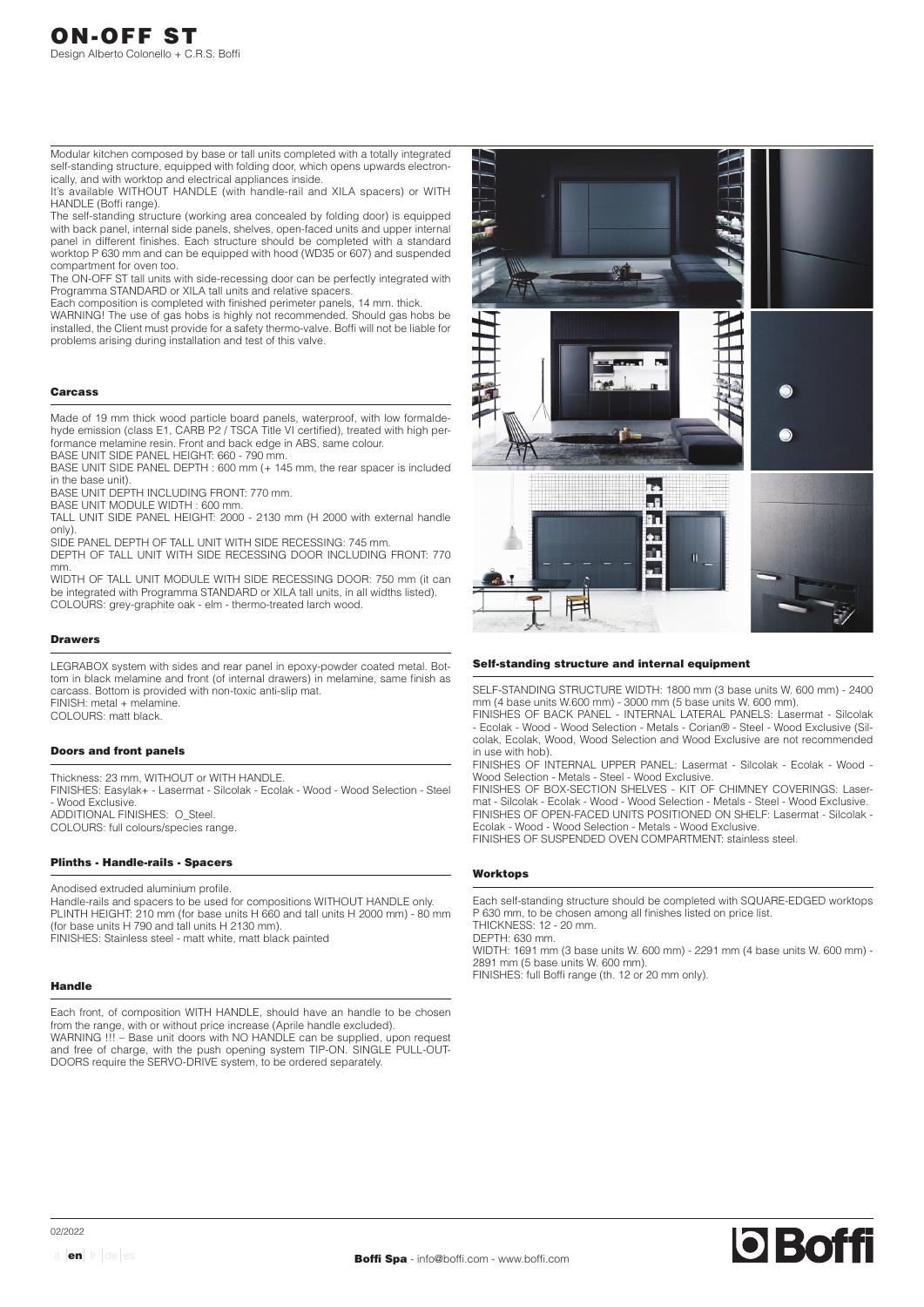Modular kitchen composed by base or tall units completed with a totally integrated self-standing structure, equipped with folding door, which opens upwards electronically, and with worktop and electrical appliances inside.

It's available WITHOUT HANDLE (with handle-rail and XILA spacers) or WITH HANDLE (Boffi range).

The self-standing structure (working area concealed by folding door) is equipped with back panel, internal side panels, shelves, open-faced units and upper internal panel in different finishes. Each structure should be completed with a standard worktop P 630 mm and can be equipped with hood (WD35 or 607) and suspended compartment for oven too.

The ON-OFF ST tall units with side-recessing door can be perfectly integrated with Programma STANDARD or XILA tall units and relative spacers.

Each composition is completed with finished perimeter panels, 14 mm. thick.

WARNING! The use of gas hobs is highly not recommended. Should gas hobs be installed, the Client must provide for a safety thermo-valve. Boffi will not be liable for problems arising during installation and test of this valve.

### Carcass

Made of 19 mm thick wood particle board panels, waterproof, with low formaldehyde emission (class E1, CARB P2 / TSCA Title VI certified), treated with high performance melamine resin. Front and back edge in ABS, same colour. BASE UNIT SIDE PANEL HEIGHT: 660 - 790 mm.

BASE UNIT SIDE PANEL DEPTH : 600 mm (+ 145 mm, the rear spacer is included in the base unit).

BASE UNIT DEPTH INCLUDING FRONT: 770 mm.

BASE UNIT MODULE WIDTH : 600 mm.

TALL UNIT SIDE PANEL HEIGHT: 2000 - 2130 mm (H 2000 with external handle only).

SIDE PANEL DEPTH OF TALL UNIT WITH SIDE RECESSING: 745 mm. DEPTH OF TALL UNIT WITH SIDE RECESSING DOOR INCLUDING FRONT: 770 mm.

WIDTH OF TALL UNIT MODULE WITH SIDE RECESSING DOOR: 750 mm (it can be integrated with Programma STANDARD or XILA tall units, in all widths listed). COLOURS: grey-graphite oak - elm - thermo-treated larch wood.

### Drawers

LEGRABOX system with sides and rear panel in epoxy-powder coated metal. Bottom in black melamine and front (of internal drawers) in melamine, same finish as carcass. Bottom is provided with non-toxic anti-slip mat. FINISH: metal + melamine.

COLOURS: matt black.

#### Doors and front panels

Thickness: 23 mm, WITHOUT or WITH HANDLE. FINISHES: Easylak+ - Lasermat - Silcolak - Ecolak - Wood - Wood Selection - Steel - Wood Exclusive. ADDITIONAL FINISHES: O\_Steel. COLOURS: full colours/species range.

# Plinths - Handle-rails - Spacers

Anodised extruded aluminium profile. Handle-rails and spacers to be used for compositions WITHOUT HANDLE only. PLINTH HEIGHT: 210 mm (for base units H 660 and tall units H 2000 mm) - 80 mm (for base units H 790 and tall units H 2130 mm). FINISHES: Stainless steel - matt white, matt black painted

### Handle

Each front, of composition WITH HANDLE, should have an handle to be chosen from the range, with or without price increase (Aprile handle excluded). WARNING !!! – Base unit doors with NO HANDLE can be supplied, upon request and free of charge, with the push opening system TIP-ON. SINGLE PULL-OUT-DOORS require the SERVO-DRIVE system, to be ordered separately.



#### Self-standing structure and internal equipment

SELF-STANDING STRUCTURE WIDTH: 1800 mm (3 base units W. 600 mm) - 2400 mm (4 base units W.600 mm) - 3000 mm (5 base units W. 600 mm).

FINISHES OF BACK PANEL - INTERNAL LATERAL PANELS: Lasermat - Silcolak - Ecolak - Wood - Wood Selection - Metals - Corian® - Steel - Wood Exclusive (Silcolak, Ecolak, Wood, Wood Selection and Wood Exclusive are not recommended in use with hob).

FINISHES OF INTERNAL UPPER PANEL: Lasermat - Silcolak - Ecolak - Wood - Wood Selection - Metals - Steel - Wood Exclusive.

FINISHES OF BOX-SECTION SHELVES - KIT OF CHIMNEY COVERINGS: Lasermat - Silcolak - Ecolak - Wood - Wood Selection - Metals - Steel - Wood Exclusive. FINISHES OF OPEN-FACED UNITS POSITIONED ON SHELF: Lasermat - Silcolak - Ecolak - Wood - Wood Selection - Metals - Wood Exclusive.

FINISHES OF SUSPENDED OVEN COMPARTMENT: stainless steel.

### Worktops

Each self-standing structure should be completed with SQUARE-EDGED worktops P 630 mm, to be chosen among all finishes listed on price list. THICKNESS: 12 - 20 mm.

DEPTH: 630 mm.

WIDTH: 1691 mm (3 base units W. 600 mm) - 2291 mm (4 base units W. 600 mm) - 2891 mm (5 base units W. 600 mm). FINISHES: full Boffi range (th. 12 or 20 mm only).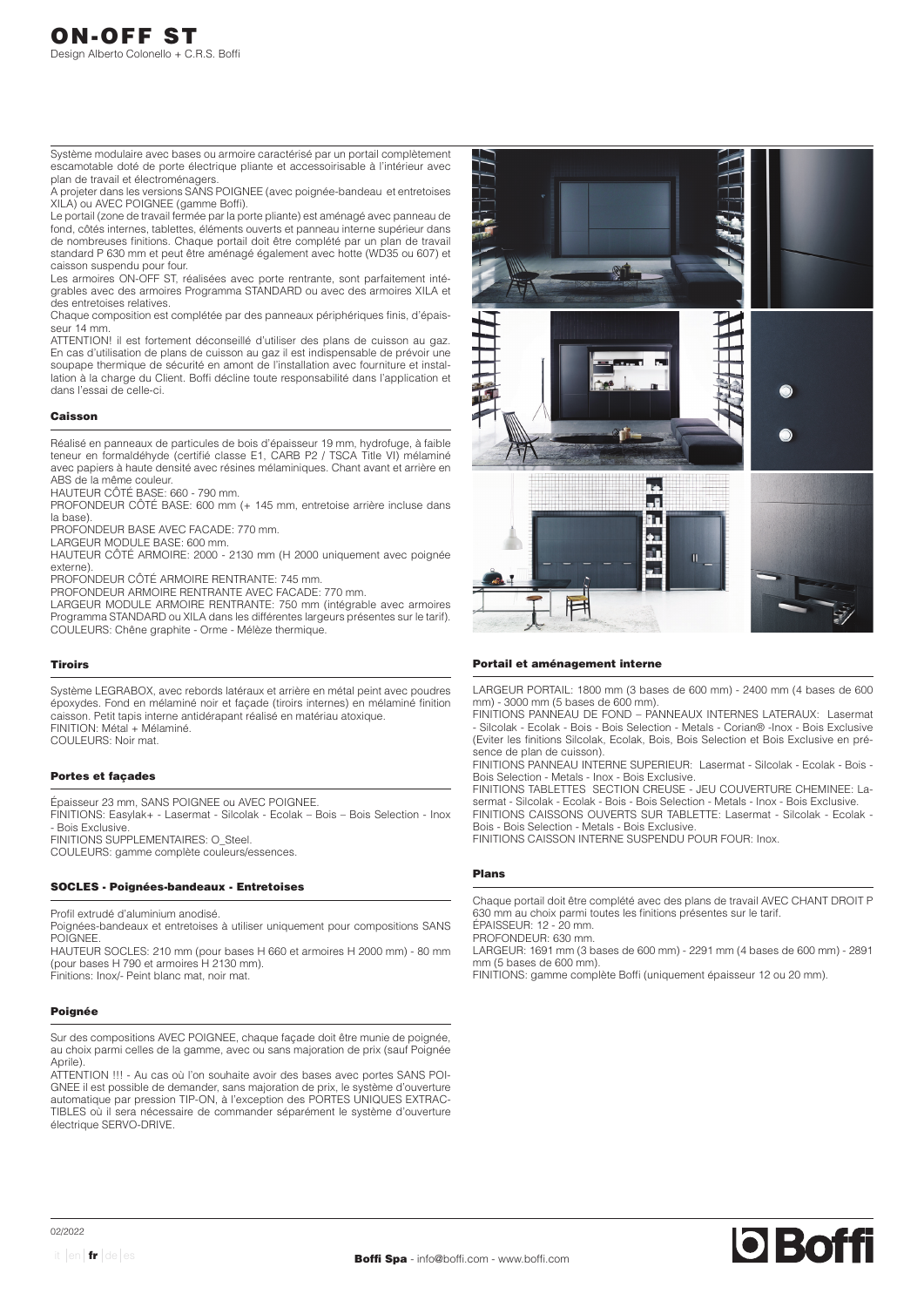Système modulaire avec bases ou armoire caractérisé par un portail complètement escamotable doté de porte électrique pliante et accessoirisable à l'intérieur avec plan de travail et électroménagers.

A projeter dans les versions SANS POIGNEE (avec poignée-bandeau et entretoises XILA) ou AVEC POIGNEE (gamme Boffi).

Le portail (zone de travail fermée par la porte pliante) est aménagé avec panneau de fond, côtés internes, tablettes, éléments ouverts et panneau interne supérieur dans de nombreuses finitions. Chaque portail doit être complété par un plan de travail standard P 630 mm et peut être aménagé également avec hotte (WD35 ou 607) et caisson suspendu pour four.

Les armoires ON-OFF ST, réalisées avec porte rentrante, sont parfaitement intégrables avec des armoires Programma STANDARD ou avec des armoires XILA et des entretoises relatives.

Chaque composition est complétée par des panneaux périphériques finis, d'épaisseur 14 mm.

ATTENTION! il est fortement déconseillé d'utiliser des plans de cuisson au gaz. En cas d'utilisation de plans de cuisson au gaz il est indispensable de prévoir une soupape thermique de sécurité en amont de l'installation avec fourniture et installation à la charge du Client. Boffi décline toute responsabilité dans l'application et dans l'essai de celle-ci.

### Caisson

Réalisé en panneaux de particules de bois d'épaisseur 19 mm, hydrofuge, à faible teneur en formaldéhyde (certifié classe E1, CARB P2 / TSCA Title VI) mélaminé avec papiers à haute densité avec résines mélaminiques. Chant avant et arrière en ABS de la même couleur.

HAUTEUR CÔTÉ BASE: 660 - 790 mm.

PROFONDEUR CÔTÉ BASE: 600 mm (+ 145 mm, entretoise arrière incluse dans la base)

PROFONDEUR BASE AVEC FACADE: 770 mm.

LARGEUR MODULE BASE: 600 mm.

HAUTEUR CÔTÉ ARMOIRE: 2000 - 2130 mm (H 2000 uniquement avec poignée externe).

PROFONDEUR CÔTÉ ARMOIRE RENTRANTE: 745 mm.

PROFONDEUR ARMOIRE RENTRANTE AVEC FACADE: 770 mm.

LARGEUR MODULE ARMOIRE RENTRANTE: 750 mm (intégrable avec armoires Programma STANDARD ou XILA dans les différentes largeurs présentes sur le tarif). COULEURS: Chêne graphite - Orme - Mélèze thermique.

#### Tiroirs

Système LEGRABOX, avec rebords latéraux et arrière en métal peint avec poudres époxydes. Fond en mélaminé noir et façade (tiroirs internes) en mélaminé finition caisson. Petit tapis interne antidérapant réalisé en matériau atoxique. FINITION: Métal + Mélaminé. COULEURS: Noir mat.

#### Portes et façades

Épaisseur 23 mm, SANS POIGNEE ou AVEC POIGNEE. FINITIONS: Easylak+ - Lasermat - Silcolak - Ecolak – Bois – Bois Selection - Inox - Bois Exclusive. FINITIONS SUPPLEMENTAIRES: O\_Steel. COULEURS: gamme complète couleurs/essences.

### SOCLES - Poignées-bandeaux - Entretoises

Profil extrudé d'aluminium anodisé.

Poignées-bandeaux et entretoises à utiliser uniquement pour compositions SANS POIGNEE.

HAUTEUR SOCLES: 210 mm (pour bases H 660 et armoires H 2000 mm) - 80 mm (pour bases H 790 et armoires H 2130 mm).

Finitions: Inox/- Peint blanc mat, noir mat.

# Poignée

Sur des compositions AVEC POIGNEE, chaque façade doit être munie de poignée, au choix parmi celles de la gamme, avec ou sans majoration de prix (sauf Poignée Aprile).

ATTENTION !!! - Au cas où l'on souhaite avoir des bases avec portes SANS POI-GNEE il est possible de demander, sans majoration de prix, le système d'ouverture automatique par pression TIP-ON, à l'exception des PORTES UNIQUES EXTRAC-TIBLES où il sera nécessaire de commander séparément le système d'ouverture électrique SERVO-DRIVE.



#### Portail et aménagement interne

LARGEUR PORTAIL: 1800 mm (3 bases de 600 mm) - 2400 mm (4 bases de 600 mm) - 3000 mm (5 bases de 600 mm).

FINITIONS PANNEAU DE FOND – PANNEAUX INTERNES LATERAUX: Lasermat - Silcolak - Ecolak - Bois - Bois Selection - Metals - Corian® -Inox - Bois Exclusive (Eviter les finitions Silcolak, Ecolak, Bois, Bois Selection et Bois Exclusive en présence de plan de cuisson)

FINITIONS PANNEAU INTERNE SUPERIEUR: Lasermat - Silcolak - Ecolak - Bois - Bois Selection - Metals - Inox - Bois Exclusive.

FINITIONS TABLETTES SECTION CREUSE - JEU COUVERTURE CHEMINEE: Lasermat - Silcolak - Ecolak - Bois - Bois Selection - Metals - Inox - Bois Exclusive. FINITIONS CAISSONS OUVERTS SUR TABLETTE: Lasermat - Silcolak - Ecolak - Bois - Bois Selection - Metals - Bois Exclusive.

FINITIONS CAISSON INTERNE SUSPENDU POUR FOUR: Inox.

# Plans

Chaque portail doit être complété avec des plans de travail AVEC CHANT DROIT P 630 mm au choix parmi toutes les finitions présentes sur le tarif. ÉPAISSEUR: 12 - 20 mm.

PROFONDEUR: 630 mm.

LARGEUR: 1691 mm (3 bases de 600 mm) - 2291 mm (4 bases de 600 mm) - 2891 mm (5 bases de 600 mm).

FINITIONS: gamme complète Boffi (uniquement épaisseur 12 ou 20 mm).

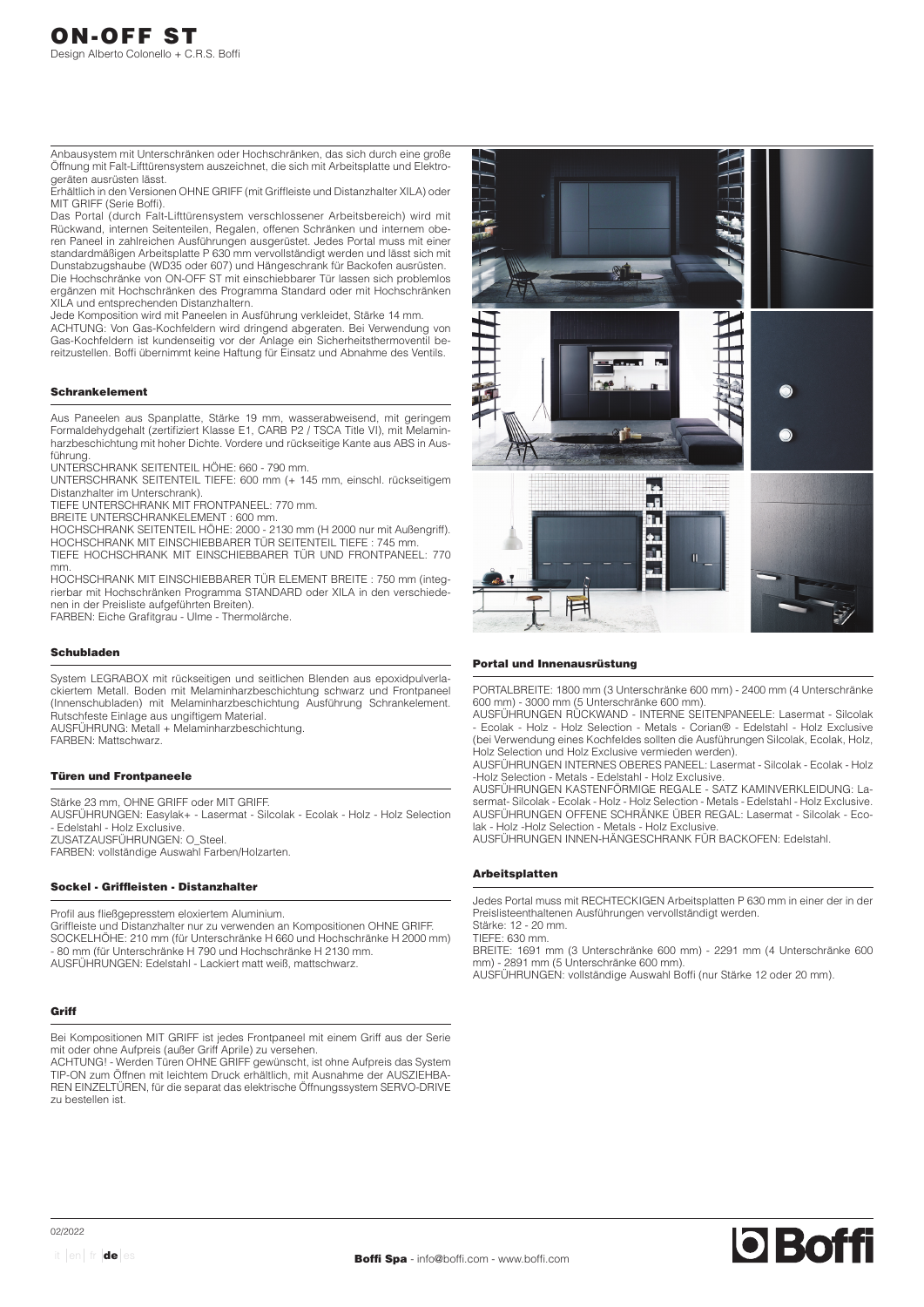Anbausystem mit Unterschränken oder Hochschränken, das sich durch eine große Öffnung mit Falt-Lifttürensystem auszeichnet, die sich mit Arbeitsplatte und Elektrogeräten ausrüsten lässt.

Erhältlich in den Versionen OHNE GRIFF (mit Griffleiste und Distanzhalter XILA) oder MIT GRIFF (Serie Boffi).

Das Portal (durch Falt-Lifttürensystem verschlossener Arbeitsbereich) wird mit Rückwand, internen Seitenteilen, Regalen, offenen Schränken und internem oberen Paneel in zahlreichen Ausführungen ausgerüstet. Jedes Portal muss mit einer standardmäßigen Arbeitsplatte P 630 mm vervollständigt werden und lässt sich mit Dunstabzugshaube (WD35 oder 607) und Hängeschrank für Backofen ausrüsten. Die Hochschränke von ON-OFF ST mit einschiebbarer Tür lassen sich problemlos ergänzen mit Hochschränken des Programma Standard oder mit Hochschränken XILA und entsprechenden Distanzhaltern.

Jede Komposition wird mit Paneelen in Ausführung verkleidet, Stärke 14 mm. ACHTUNG: Von Gas-Kochfeldern wird dringend abgeraten. Bei Verwendung von Gas-Kochfeldern ist kundenseitig vor der Anlage ein Sicherheitsthermoventil bereitzustellen. Boffi übernimmt keine Haftung für Einsatz und Abnahme des Ventils.

# Schrankelement

Aus Paneelen aus Spanplatte, Stärke 19 mm, wasserabweisend, mit geringem Formaldehydgehalt (zertifiziert Klasse E1, CARB P2 / TSCA Title VI), mit Melaminharzbeschichtung mit hoher Dichte. Vordere und rückseitige Kante aus ABS in Ausführung.

UNTERSCHRANK SEITENTEIL HÖHE: 660 - 790 mm.

UNTERSCHRANK SEITENTEIL TIEFE: 600 mm (+ 145 mm, einschl. rückseitigem Distanzhalter im Unterschrank).

TIEFE UNTERSCHRANK MIT FRONTPANEEL: 770 mm.

BREITE UNTERSCHRANKELEMENT : 600 mm.

HOCHSCHRANK SEITENTEIL HÖHE: 2000 - 2130 mm (H 2000 nur mit Außengriff). HOCHSCHRANK MIT EINSCHIEBBARER TÜR SEITENTEIL TIEFE : 745 mm. TIEFE HOCHSCHRANK MIT EINSCHIEBBARER TÜR UND FRONTPANEEL: 770 mm.

HOCHSCHRANK MIT EINSCHIEBBARER TÜR ELEMENT BREITE : 750 mm (integrierbar mit Hochschränken Programma STANDARD oder XILA in den verschiedenen in der Preisliste aufgeführten Breiten).

FARBEN: Eiche Grafitgrau - Ulme - Thermolärche.

### Schubladen

System LEGRABOX mit rückseitigen und seitlichen Blenden aus epoxidpulverlackiertem Metall. Boden mit Melaminharzbeschichtung schwarz und Frontpaneel (Innenschubladen) mit Melaminharzbeschichtung Ausführung Schrankelement. Rutschfeste Einlage aus ungiftigem Material. AUSFÜHRUNG: Metall + Melaminharzbeschichtung. FARBEN: Mattschwarz.

### Türen und Frontpaneele

Stärke 23 mm, OHNE GRIFF oder MIT GRIFF. AUSFÜHRUNGEN: Easylak+ - Lasermat - Silcolak - Ecolak - Holz - Holz Selection - Edelstahl - Holz Exclusive. ZUSATZAUSFÜHRUNGEN: O\_Steel. FARBEN: vollständige Auswahl Farben/Holzarten.

#### Sockel - Griffleisten - Distanzhalter

Profil aus fließgepresstem eloxiertem Aluminium. Griffleiste und Distanzhalter nur zu verwenden an Kompositionen OHNE GRIFF. SOCKELHÖHE: 210 mm (für Unterschränke H 660 und Hochschränke H 2000 mm) - 80 mm (für Unterschränke H 790 und Hochschränke H 2130 mm. AUSFÜHRUNGEN: Edelstahl - Lackiert matt weiß, mattschwarz.

# **Griff**

Bei Kompositionen MIT GRIFF ist jedes Frontpaneel mit einem Griff aus der Serie mit oder ohne Aufpreis (außer Griff Aprile) zu versehen.

ACHTUNG! - Werden Türen OHNE GRIFF gewünscht, ist ohne Aufpreis das System TIP-ON zum Öffnen mit leichtem Druck erhältlich, mit Ausnahme der AUSZIEHBA-REN EINZELTÜREN, für die separat das elektrische Öffnungssystem SERVO-DRIVE zu bestellen ist.



#### Portal und Innenausrüstung

PORTALBREITE: 1800 mm (3 Unterschränke 600 mm) - 2400 mm (4 Unterschränke 600 mm) - 3000 mm (5 Unterschränke 600 mm).

AUSFÜHRUNGEN RÜCKWAND - INTERNE SEITENPANEELE: Lasermat - Silcolak - Ecolak - Holz - Holz Selection - Metals - Corian® - Edelstahl - Holz Exclusive (bei Verwendung eines Kochfeldes sollten die Ausführungen Silcolak, Ecolak, Holz, Holz Selection und Holz Exclusive vermieden werden).

AUSFÜHRUNGEN INTERNES OBERES PANEEL: Lasermat - Silcolak - Ecolak - Holz -Holz Selection - Metals - Edelstahl - Holz Exclusive.

AUSFÜHRUNGEN KASTENFÖRMIGE REGALE - SATZ KAMINVERKLEIDUNG: Lasermat- Silcolak - Ecolak - Holz - Holz Selection - Metals - Edelstahl - Holz Exclusive. AUSFÜHRUNGEN OFFENE SCHRÄNKE ÜBER REGAL: Lasermat - Silcolak - Ecolak - Holz -Holz Selection - Metals - Holz Exclusive.

AUSFÜHRUNGEN INNEN-HÄNGESCHRANK FÜR BACKOFEN: Edelstahl.

### Arbeitsplatten

Jedes Portal muss mit RECHTECKIGEN Arbeitsplatten P 630 mm in einer der in der Preislisteenthaltenen Ausführungen vervollständigt werden. Stärke: 12 - 20 mm.

TIEFE: 630 mm.

BREITE: 1691 mm (3 Unterschränke 600 mm) - 2291 mm (4 Unterschränke 600 mm) - 2891 mm (5 Unterschränke 600 mm).

AUSFÜHRUNGEN: vollständige Auswahl Boffi (nur Stärke 12 oder 20 mm).